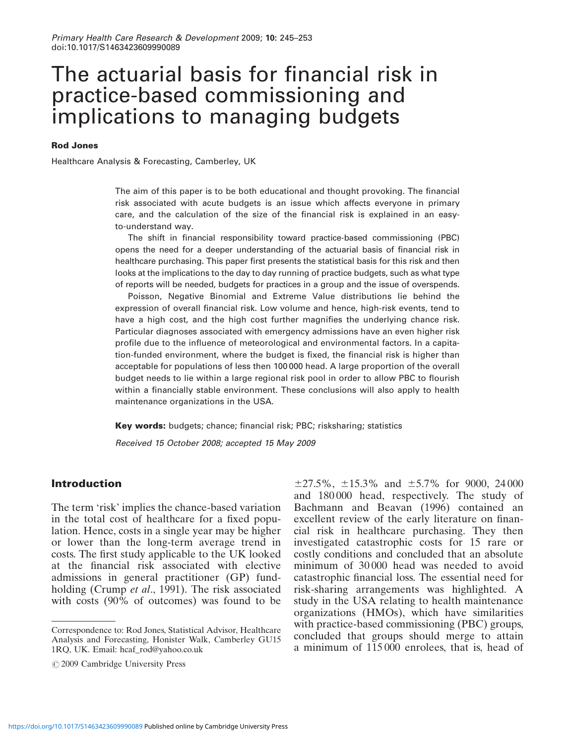# The actuarial basis for financial risk in practice-based commissioning and implications to managing budgets

#### Rod Jones

Healthcare Analysis & Forecasting, Camberley, UK

The aim of this paper is to be both educational and thought provoking. The financial risk associated with acute budgets is an issue which affects everyone in primary care, and the calculation of the size of the financial risk is explained in an easyto-understand way.

The shift in financial responsibility toward practice-based commissioning (PBC) opens the need for a deeper understanding of the actuarial basis of financial risk in healthcare purchasing. This paper first presents the statistical basis for this risk and then looks at the implications to the day to day running of practice budgets, such as what type of reports will be needed, budgets for practices in a group and the issue of overspends.

Poisson, Negative Binomial and Extreme Value distributions lie behind the expression of overall financial risk. Low volume and hence, high-risk events, tend to have a high cost, and the high cost further magnifies the underlying chance risk. Particular diagnoses associated with emergency admissions have an even higher risk profile due to the influence of meteorological and environmental factors. In a capitation-funded environment, where the budget is fixed, the financial risk is higher than acceptable for populations of less then 100 000 head. A large proportion of the overall budget needs to lie within a large regional risk pool in order to allow PBC to flourish within a financially stable environment. These conclusions will also apply to health maintenance organizations in the USA.

Key words: budgets; chance; financial risk; PBC; risksharing; statistics

*Received 15 October 2008; accepted 15 May 2009*

## Introduction

The term 'risk' implies the chance-based variation in the total cost of healthcare for a fixed population. Hence, costs in a single year may be higher or lower than the long-term average trend in costs. The first study applicable to the UK looked at the financial risk associated with elective admissions in general practitioner (GP) fundholding (Crump et al., 1991). The risk associated with costs (90% of outcomes) was found to be

 $\pm 27.5\%$ ,  $\pm 15.3\%$  and  $\pm 5.7\%$  for 9000, 24 000 and 180 000 head, respectively. The study of Bachmann and Beavan (1996) contained an excellent review of the early literature on financial risk in healthcare purchasing. They then investigated catastrophic costs for 15 rare or costly conditions and concluded that an absolute minimum of 30 000 head was needed to avoid catastrophic financial loss. The essential need for risk-sharing arrangements was highlighted. A study in the USA relating to health maintenance organizations (HMOs), which have similarities with practice-based commissioning (PBC) groups, concluded that groups should merge to attain a minimum of 115 000 enrolees, that is, head of

Correspondence to: Rod Jones, Statistical Advisor, Healthcare Analysis and Forecasting, Honister Walk, Camberley GU15 1RQ, UK. Email: hcaf\_rod@yahoo.co.uk

 $\circ$ 2009 Cambridge University Press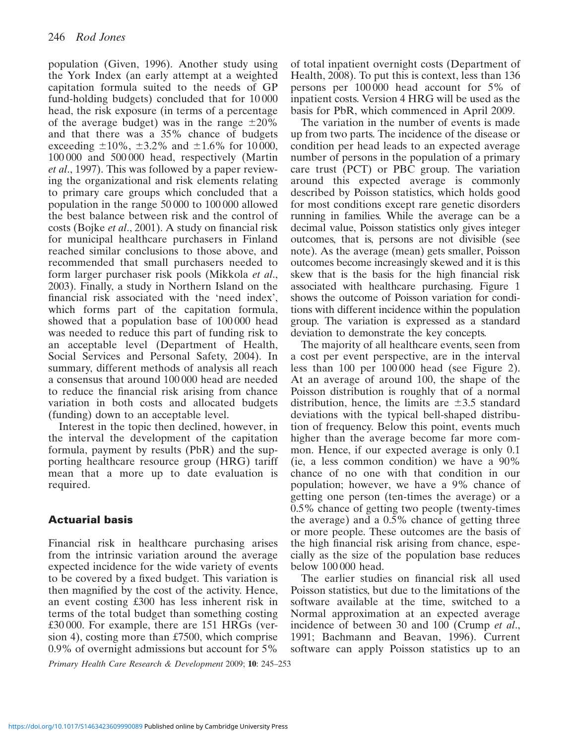population (Given, 1996). Another study using the York Index (an early attempt at a weighted capitation formula suited to the needs of GP fund-holding budgets) concluded that for 10 000 head, the risk exposure (in terms of a percentage of the average budget) was in the range  $\pm 20\%$ and that there was a 35% chance of budgets exceeding  $\pm 10\%$ ,  $\pm 3.2\%$  and  $\pm 1.6\%$  for 10 000, 100 000 and 500 000 head, respectively (Martin et al., 1997). This was followed by a paper reviewing the organizational and risk elements relating to primary care groups which concluded that a population in the range 50 000 to 100 000 allowed the best balance between risk and the control of costs (Bojke et al., 2001). A study on financial risk for municipal healthcare purchasers in Finland reached similar conclusions to those above, and recommended that small purchasers needed to form larger purchaser risk pools (Mikkola et al., 2003). Finally, a study in Northern Island on the financial risk associated with the 'need index', which forms part of the capitation formula, showed that a population base of 100 000 head was needed to reduce this part of funding risk to an acceptable level (Department of Health, Social Services and Personal Safety, 2004). In summary, different methods of analysis all reach a consensus that around 100 000 head are needed to reduce the financial risk arising from chance variation in both costs and allocated budgets (funding) down to an acceptable level.

Interest in the topic then declined, however, in the interval the development of the capitation formula, payment by results (PbR) and the supporting healthcare resource group (HRG) tariff mean that a more up to date evaluation is required.

## Actuarial basis

Financial risk in healthcare purchasing arises from the intrinsic variation around the average expected incidence for the wide variety of events to be covered by a fixed budget. This variation is then magnified by the cost of the activity. Hence, an event costing £300 has less inherent risk in terms of the total budget than something costing £30 000. For example, there are 151 HRGs (version 4), costing more than £7500, which comprise 0.9% of overnight admissions but account for 5%

Primary Health Care Research & Development 2009; 10: 245–253

of total inpatient overnight costs (Department of Health, 2008). To put this is context, less than 136 persons per 100 000 head account for 5% of inpatient costs. Version 4 HRG will be used as the basis for PbR, which commenced in April 2009.

The variation in the number of events is made up from two parts. The incidence of the disease or condition per head leads to an expected average number of persons in the population of a primary care trust (PCT) or PBC group. The variation around this expected average is commonly described by Poisson statistics, which holds good for most conditions except rare genetic disorders running in families. While the average can be a decimal value, Poisson statistics only gives integer outcomes, that is, persons are not divisible (see note). As the average (mean) gets smaller, Poisson outcomes become increasingly skewed and it is this skew that is the basis for the high financial risk associated with healthcare purchasing. Figure 1 shows the outcome of Poisson variation for conditions with different incidence within the population group. The variation is expressed as a standard deviation to demonstrate the key concepts.

The majority of all healthcare events, seen from a cost per event perspective, are in the interval less than 100 per 100 000 head (see Figure 2). At an average of around 100, the shape of the Poisson distribution is roughly that of a normal distribution, hence, the limits are  $\pm 3.5$  standard deviations with the typical bell-shaped distribution of frequency. Below this point, events much higher than the average become far more common. Hence, if our expected average is only 0.1 (ie, a less common condition) we have a 90% chance of no one with that condition in our population; however, we have a 9% chance of getting one person (ten-times the average) or a 0.5% chance of getting two people (twenty-times the average) and a 0.5% chance of getting three or more people. These outcomes are the basis of the high financial risk arising from chance, especially as the size of the population base reduces below 100 000 head.

The earlier studies on financial risk all used Poisson statistics, but due to the limitations of the software available at the time, switched to a Normal approximation at an expected average incidence of between 30 and 100 (Crump et al., 1991; Bachmann and Beavan, 1996). Current software can apply Poisson statistics up to an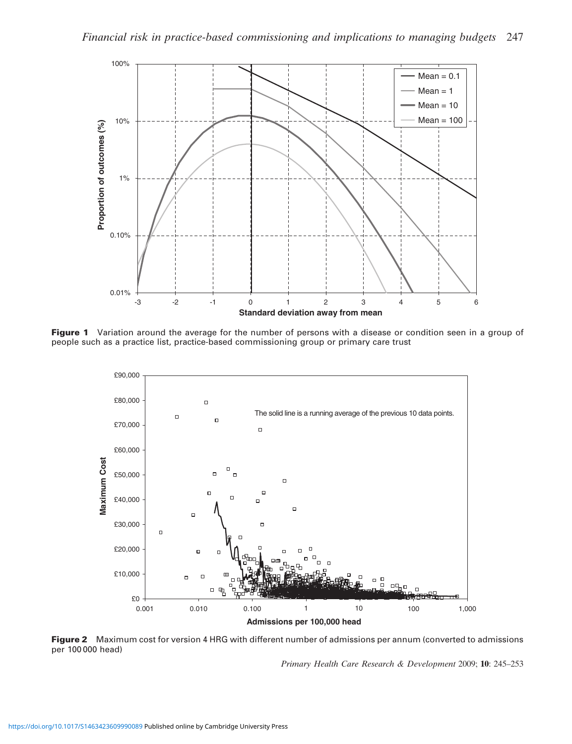

**Figure 1** Variation around the average for the number of persons with a disease or condition seen in a group of people such as a practice list, practice-based commissioning group or primary care trust



Figure 2 Maximum cost for version 4 HRG with different number of admissions per annum (converted to admissions per 100 000 head)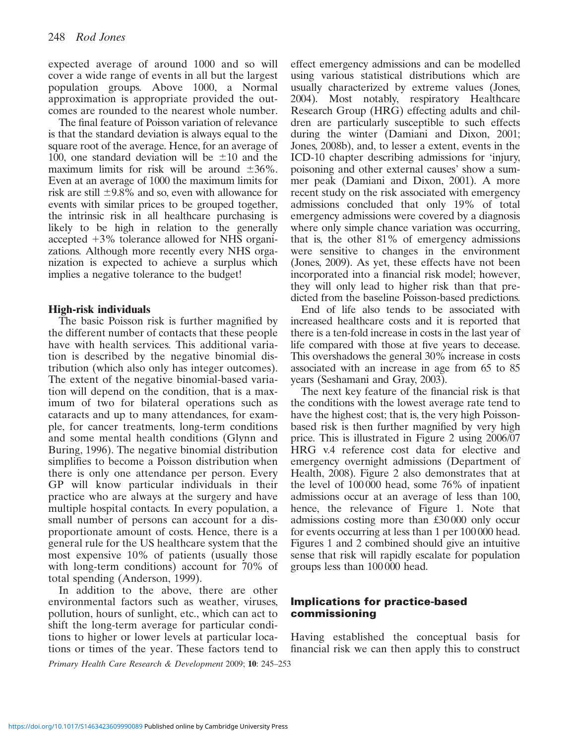expected average of around 1000 and so will cover a wide range of events in all but the largest population groups. Above 1000, a Normal approximation is appropriate provided the outcomes are rounded to the nearest whole number.

The final feature of Poisson variation of relevance is that the standard deviation is always equal to the square root of the average. Hence, for an average of 100, one standard deviation will be  $\pm 10$  and the maximum limits for risk will be around  $\pm 36\%$ . Even at an average of 1000 the maximum limits for risk are still  $\pm 9.8\%$  and so, even with allowance for events with similar prices to be grouped together, the intrinsic risk in all healthcare purchasing is likely to be high in relation to the generally accepted  $+3\%$  tolerance allowed for NHS organizations. Although more recently every NHS organization is expected to achieve a surplus which implies a negative tolerance to the budget!

#### High-risk individuals

The basic Poisson risk is further magnified by the different number of contacts that these people have with health services. This additional variation is described by the negative binomial distribution (which also only has integer outcomes). The extent of the negative binomial-based variation will depend on the condition, that is a maximum of two for bilateral operations such as cataracts and up to many attendances, for example, for cancer treatments, long-term conditions and some mental health conditions (Glynn and Buring, 1996). The negative binomial distribution simplifies to become a Poisson distribution when there is only one attendance per person. Every GP will know particular individuals in their practice who are always at the surgery and have multiple hospital contacts. In every population, a small number of persons can account for a disproportionate amount of costs. Hence, there is a general rule for the US healthcare system that the most expensive 10% of patients (usually those with long-term conditions) account for 70% of total spending (Anderson, 1999).

In addition to the above, there are other environmental factors such as weather, viruses, pollution, hours of sunlight, etc., which can act to shift the long-term average for particular conditions to higher or lower levels at particular locations or times of the year. These factors tend to

Primary Health Care Research & Development 2009; 10: 245–253

effect emergency admissions and can be modelled using various statistical distributions which are usually characterized by extreme values (Jones, 2004). Most notably, respiratory Healthcare Research Group (HRG) effecting adults and children are particularly susceptible to such effects during the winter (Damiani and Dixon, 2001; Jones, 2008b), and, to lesser a extent, events in the ICD-10 chapter describing admissions for 'injury, poisoning and other external causes' show a summer peak (Damiani and Dixon, 2001). A more recent study on the risk associated with emergency admissions concluded that only 19% of total emergency admissions were covered by a diagnosis where only simple chance variation was occurring, that is, the other 81% of emergency admissions were sensitive to changes in the environment (Jones, 2009). As yet, these effects have not been incorporated into a financial risk model; however, they will only lead to higher risk than that predicted from the baseline Poisson-based predictions.

End of life also tends to be associated with increased healthcare costs and it is reported that there is a ten-fold increase in costs in the last year of life compared with those at five years to decease. This overshadows the general 30% increase in costs associated with an increase in age from 65 to 85 years (Seshamani and Gray, 2003).

The next key feature of the financial risk is that the conditions with the lowest average rate tend to have the highest cost; that is, the very high Poissonbased risk is then further magnified by very high price. This is illustrated in Figure 2 using 2006/07 HRG v.4 reference cost data for elective and emergency overnight admissions (Department of Health, 2008). Figure 2 also demonstrates that at the level of 100 000 head, some 76% of inpatient admissions occur at an average of less than 100, hence, the relevance of Figure 1. Note that admissions costing more than £30 000 only occur for events occurring at less than 1 per 100 000 head. Figures 1 and 2 combined should give an intuitive sense that risk will rapidly escalate for population groups less than 100 000 head.

### Implications for practice-based commissioning

Having established the conceptual basis for financial risk we can then apply this to construct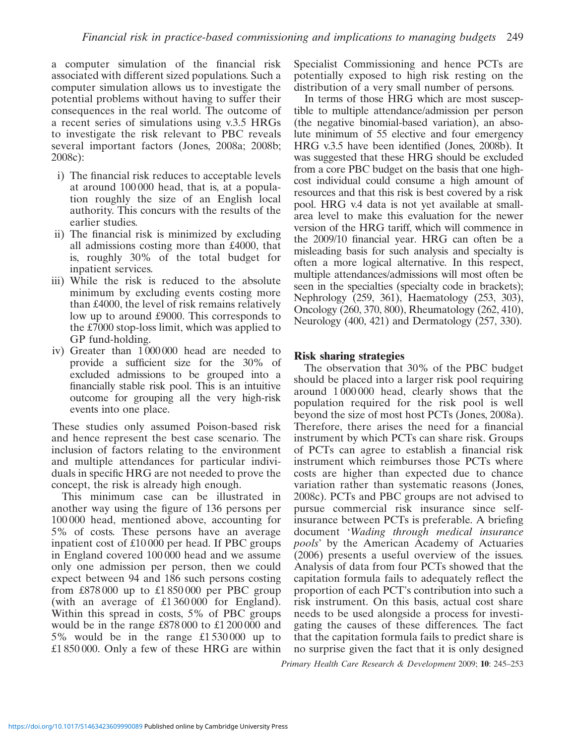a computer simulation of the financial risk associated with different sized populations. Such a computer simulation allows us to investigate the potential problems without having to suffer their consequences in the real world. The outcome of a recent series of simulations using v.3.5 HRGs to investigate the risk relevant to PBC reveals several important factors (Jones, 2008a; 2008b; 2008c):

- i) The financial risk reduces to acceptable levels at around 100 000 head, that is, at a population roughly the size of an English local authority. This concurs with the results of the earlier studies.
- ii) The financial risk is minimized by excluding all admissions costing more than £4000, that is, roughly 30% of the total budget for inpatient services.
- iii) While the risk is reduced to the absolute minimum by excluding events costing more than £4000, the level of risk remains relatively low up to around £9000. This corresponds to the £7000 stop-loss limit, which was applied to GP fund-holding.
- iv) Greater than 1 000 000 head are needed to provide a sufficient size for the 30% of excluded admissions to be grouped into a financially stable risk pool. This is an intuitive outcome for grouping all the very high-risk events into one place.

These studies only assumed Poison-based risk and hence represent the best case scenario. The inclusion of factors relating to the environment and multiple attendances for particular individuals in specific HRG are not needed to prove the concept, the risk is already high enough.

This minimum case can be illustrated in another way using the figure of 136 persons per 100 000 head, mentioned above, accounting for 5% of costs. These persons have an average inpatient cost of £10 000 per head. If PBC groups in England covered 100 000 head and we assume only one admission per person, then we could expect between 94 and 186 such persons costing from  $\pounds878000$  up to  $\pounds1850000$  per PBC group (with an average of £1 360 000 for England). Within this spread in costs, 5% of PBC groups would be in the range £878 000 to £1 200 000 and 5% would be in the range £1 530 000 up to £1 850 000. Only a few of these HRG are within Specialist Commissioning and hence PCTs are potentially exposed to high risk resting on the distribution of a very small number of persons.

In terms of those HRG which are most susceptible to multiple attendance/admission per person (the negative binomial-based variation), an absolute minimum of 55 elective and four emergency HRG v.3.5 have been identified (Jones, 2008b). It was suggested that these HRG should be excluded from a core PBC budget on the basis that one highcost individual could consume a high amount of resources and that this risk is best covered by a risk pool. HRG v.4 data is not yet available at smallarea level to make this evaluation for the newer version of the HRG tariff, which will commence in the 2009/10 financial year. HRG can often be a misleading basis for such analysis and specialty is often a more logical alternative. In this respect, multiple attendances/admissions will most often be seen in the specialties (specialty code in brackets); Nephrology (259, 361), Haematology (253, 303), Oncology (260, 370, 800), Rheumatology (262, 410), Neurology (400, 421) and Dermatology (257, 330).

### Risk sharing strategies

The observation that 30% of the PBC budget should be placed into a larger risk pool requiring around 1 000 000 head, clearly shows that the population required for the risk pool is well beyond the size of most host PCTs (Jones, 2008a). Therefore, there arises the need for a financial instrument by which PCTs can share risk. Groups of PCTs can agree to establish a financial risk instrument which reimburses those PCTs where costs are higher than expected due to chance variation rather than systematic reasons (Jones, 2008c). PCTs and PBC groups are not advised to pursue commercial risk insurance since selfinsurance between PCTs is preferable. A briefing document 'Wading through medical insurance pools' by the American Academy of Actuaries (2006) presents a useful overview of the issues. Analysis of data from four PCTs showed that the capitation formula fails to adequately reflect the proportion of each PCT's contribution into such a risk instrument. On this basis, actual cost share needs to be used alongside a process for investigating the causes of these differences. The fact that the capitation formula fails to predict share is no surprise given the fact that it is only designed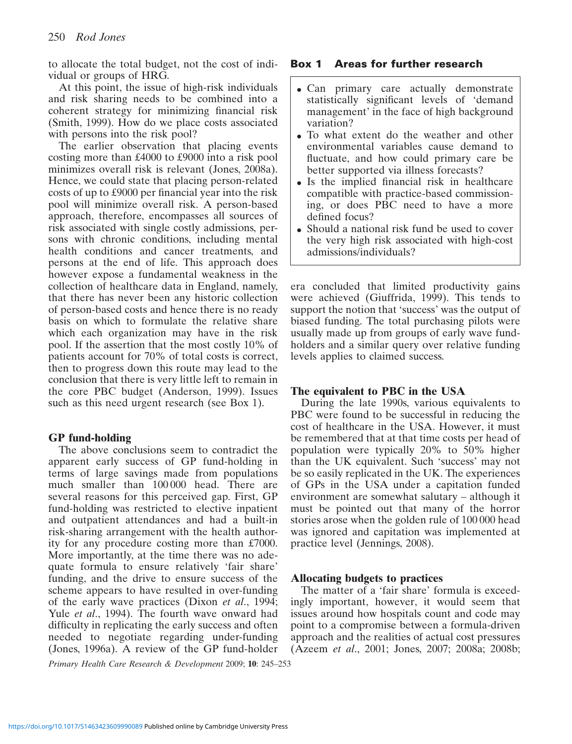to allocate the total budget, not the cost of individual or groups of HRG.

At this point, the issue of high-risk individuals and risk sharing needs to be combined into a coherent strategy for minimizing financial risk (Smith, 1999). How do we place costs associated with persons into the risk pool?

The earlier observation that placing events costing more than £4000 to £9000 into a risk pool minimizes overall risk is relevant (Jones, 2008a). Hence, we could state that placing person-related costs of up to £9000 per financial year into the risk pool will minimize overall risk. A person-based approach, therefore, encompasses all sources of risk associated with single costly admissions, persons with chronic conditions, including mental health conditions and cancer treatments, and persons at the end of life. This approach does however expose a fundamental weakness in the collection of healthcare data in England, namely, that there has never been any historic collection of person-based costs and hence there is no ready basis on which to formulate the relative share which each organization may have in the risk pool. If the assertion that the most costly 10% of patients account for 70% of total costs is correct, then to progress down this route may lead to the conclusion that there is very little left to remain in the core PBC budget (Anderson, 1999). Issues such as this need urgent research (see Box 1).

#### GP fund-holding

The above conclusions seem to contradict the apparent early success of GP fund-holding in terms of large savings made from populations much smaller than 100 000 head. There are several reasons for this perceived gap. First, GP fund-holding was restricted to elective inpatient and outpatient attendances and had a built-in risk-sharing arrangement with the health authority for any procedure costing more than £7000. More importantly, at the time there was no adequate formula to ensure relatively 'fair share' funding, and the drive to ensure success of the scheme appears to have resulted in over-funding of the early wave practices (Dixon et al., 1994; Yule et al., 1994). The fourth wave onward had difficulty in replicating the early success and often needed to negotiate regarding under-funding (Jones, 1996a). A review of the GP fund-holder

Primary Health Care Research & Development 2009; 10: 245–253

### Box 1 Areas for further research

- <sup>&</sup>gt; Can primary care actually demonstrate statistically significant levels of 'demand management' in the face of high background variation?
- <sup>&</sup>gt; To what extent do the weather and other environmental variables cause demand to fluctuate, and how could primary care be better supported via illness forecasts?
- <sup>&</sup>gt; Is the implied financial risk in healthcare compatible with practice-based commissioning, or does PBC need to have a more defined focus?
- Should a national risk fund be used to cover the very high risk associated with high-cost admissions/individuals?

era concluded that limited productivity gains were achieved (Giuffrida, 1999). This tends to support the notion that 'success' was the output of biased funding. The total purchasing pilots were usually made up from groups of early wave fundholders and a similar query over relative funding levels applies to claimed success.

#### The equivalent to PBC in the USA

During the late 1990s, various equivalents to PBC were found to be successful in reducing the cost of healthcare in the USA. However, it must be remembered that at that time costs per head of population were typically 20% to 50% higher than the UK equivalent. Such 'success' may not be so easily replicated in the UK. The experiences of GPs in the USA under a capitation funded environment are somewhat salutary – although it must be pointed out that many of the horror stories arose when the golden rule of 100 000 head was ignored and capitation was implemented at practice level (Jennings, 2008).

#### Allocating budgets to practices

The matter of a 'fair share' formula is exceedingly important, however, it would seem that issues around how hospitals count and code may point to a compromise between a formula-driven approach and the realities of actual cost pressures (Azeem et al., 2001; Jones, 2007; 2008a; 2008b;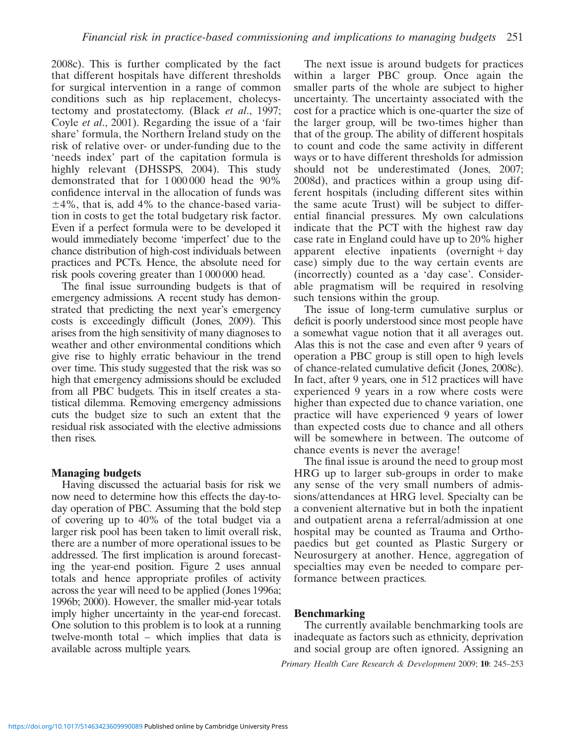2008c). This is further complicated by the fact that different hospitals have different thresholds for surgical intervention in a range of common conditions such as hip replacement, cholecystectomy and prostatectomy. (Black et al., 1997; Coyle et al., 2001). Regarding the issue of a 'fair share' formula, the Northern Ireland study on the risk of relative over- or under-funding due to the 'needs index' part of the capitation formula is highly relevant (DHSSPS, 2004). This study demonstrated that for 1 000 000 head the 90% confidence interval in the allocation of funds was  $\pm$ 4%, that is, add 4% to the chance-based variation in costs to get the total budgetary risk factor. Even if a perfect formula were to be developed it would immediately become 'imperfect' due to the chance distribution of high-cost individuals between practices and PCTs. Hence, the absolute need for risk pools covering greater than 1 000 000 head.

The final issue surrounding budgets is that of emergency admissions. A recent study has demonstrated that predicting the next year's emergency costs is exceedingly difficult (Jones, 2009). This arises from the high sensitivity of many diagnoses to weather and other environmental conditions which give rise to highly erratic behaviour in the trend over time. This study suggested that the risk was so high that emergency admissions should be excluded from all PBC budgets. This in itself creates a statistical dilemma. Removing emergency admissions cuts the budget size to such an extent that the residual risk associated with the elective admissions then rises.

#### Managing budgets

Having discussed the actuarial basis for risk we now need to determine how this effects the day-today operation of PBC. Assuming that the bold step of covering up to 40% of the total budget via a larger risk pool has been taken to limit overall risk, there are a number of more operational issues to be addressed. The first implication is around forecasting the year-end position. Figure 2 uses annual totals and hence appropriate profiles of activity across the year will need to be applied (Jones 1996a; 1996b; 2000). However, the smaller mid-year totals imply higher uncertainty in the year-end forecast. One solution to this problem is to look at a running twelve-month total – which implies that data is available across multiple years.

The next issue is around budgets for practices within a larger PBC group. Once again the smaller parts of the whole are subject to higher uncertainty. The uncertainty associated with the cost for a practice which is one-quarter the size of the larger group, will be two-times higher than that of the group. The ability of different hospitals to count and code the same activity in different ways or to have different thresholds for admission should not be underestimated (Jones, 2007; 2008d), and practices within a group using different hospitals (including different sites within the same acute Trust) will be subject to differential financial pressures. My own calculations indicate that the PCT with the highest raw day case rate in England could have up to 20% higher apparent elective inpatients (overnight  $+$  day case) simply due to the way certain events are (incorrectly) counted as a 'day case'. Considerable pragmatism will be required in resolving such tensions within the group.

The issue of long-term cumulative surplus or deficit is poorly understood since most people have a somewhat vague notion that it all averages out. Alas this is not the case and even after 9 years of operation a PBC group is still open to high levels of chance-related cumulative deficit (Jones, 2008c). In fact, after 9 years, one in 512 practices will have experienced 9 years in a row where costs were higher than expected due to chance variation, one practice will have experienced 9 years of lower than expected costs due to chance and all others will be somewhere in between. The outcome of chance events is never the average!

The final issue is around the need to group most HRG up to larger sub-groups in order to make any sense of the very small numbers of admissions/attendances at HRG level. Specialty can be a convenient alternative but in both the inpatient and outpatient arena a referral/admission at one hospital may be counted as Trauma and Orthopaedics but get counted as Plastic Surgery or Neurosurgery at another. Hence, aggregation of specialties may even be needed to compare performance between practices.

#### Benchmarking

The currently available benchmarking tools are inadequate as factors such as ethnicity, deprivation and social group are often ignored. Assigning an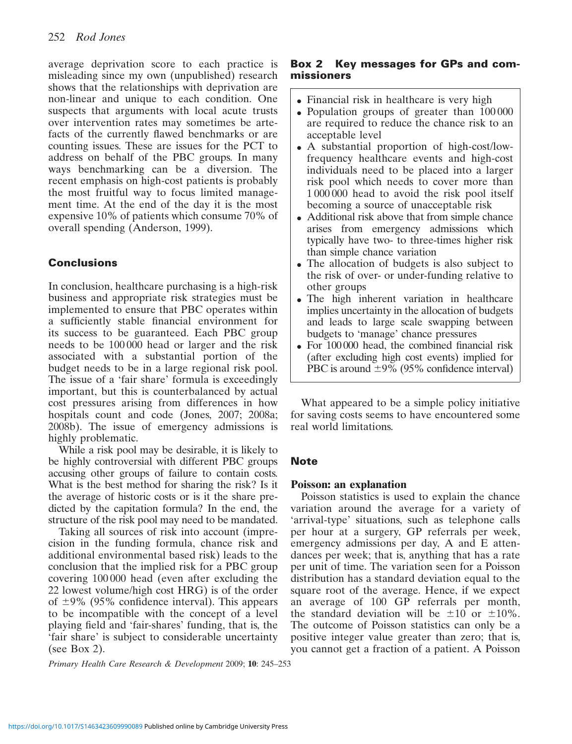average deprivation score to each practice is misleading since my own (unpublished) research shows that the relationships with deprivation are non-linear and unique to each condition. One suspects that arguments with local acute trusts over intervention rates may sometimes be artefacts of the currently flawed benchmarks or are counting issues. These are issues for the PCT to address on behalf of the PBC groups. In many ways benchmarking can be a diversion. The recent emphasis on high-cost patients is probably the most fruitful way to focus limited management time. At the end of the day it is the most expensive 10% of patients which consume 70% of overall spending (Anderson, 1999).

## **Conclusions**

In conclusion, healthcare purchasing is a high-risk business and appropriate risk strategies must be implemented to ensure that PBC operates within a sufficiently stable financial environment for its success to be guaranteed. Each PBC group needs to be 100 000 head or larger and the risk associated with a substantial portion of the budget needs to be in a large regional risk pool. The issue of a 'fair share' formula is exceedingly important, but this is counterbalanced by actual cost pressures arising from differences in how hospitals count and code (Jones, 2007; 2008a; 2008b). The issue of emergency admissions is highly problematic.

While a risk pool may be desirable, it is likely to be highly controversial with different PBC groups accusing other groups of failure to contain costs. What is the best method for sharing the risk? Is it the average of historic costs or is it the share predicted by the capitation formula? In the end, the structure of the risk pool may need to be mandated.

Taking all sources of risk into account (imprecision in the funding formula, chance risk and additional environmental based risk) leads to the conclusion that the implied risk for a PBC group covering 100 000 head (even after excluding the 22 lowest volume/high cost HRG) is of the order of  $\pm 9\%$  (95% confidence interval). This appears to be incompatible with the concept of a level playing field and 'fair-shares' funding, that is, the 'fair share' is subject to considerable uncertainty (see Box 2).

Primary Health Care Research & Development 2009; 10: 245–253

## Box 2 Key messages for GPs and commissioners

- Financial risk in healthcare is very high
- Population groups of greater than 100000 are required to reduce the chance risk to an acceptable level
- <sup>&</sup>gt; A substantial proportion of high-cost/lowfrequency healthcare events and high-cost individuals need to be placed into a larger risk pool which needs to cover more than 1 000 000 head to avoid the risk pool itself becoming a source of unacceptable risk
- Additional risk above that from simple chance arises from emergency admissions which typically have two- to three-times higher risk than simple chance variation
- The allocation of budgets is also subject to the risk of over- or under-funding relative to other groups
- <sup>&</sup>gt; The high inherent variation in healthcare implies uncertainty in the allocation of budgets and leads to large scale swapping between budgets to 'manage' chance pressures
- For 100,000 head, the combined financial risk (after excluding high cost events) implied for PBC is around  $\pm 9\%$  (95% confidence interval)

What appeared to be a simple policy initiative for saving costs seems to have encountered some real world limitations.

## **Note**

#### Poisson: an explanation

Poisson statistics is used to explain the chance variation around the average for a variety of 'arrival-type' situations, such as telephone calls per hour at a surgery, GP referrals per week, emergency admissions per day, A and E attendances per week; that is, anything that has a rate per unit of time. The variation seen for a Poisson distribution has a standard deviation equal to the square root of the average. Hence, if we expect an average of 100 GP referrals per month, the standard deviation will be  $\pm 10$  or  $\pm 10\%$ . The outcome of Poisson statistics can only be a positive integer value greater than zero; that is, you cannot get a fraction of a patient. A Poisson